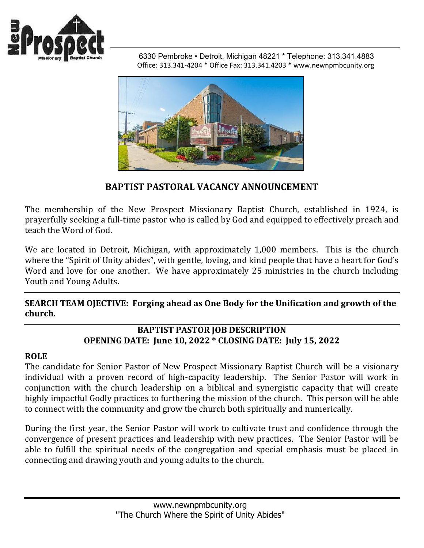

 6330 Pembroke • Detroit, Michigan 48221 \* Telephone: 313.341.4883 Office: 313.341-4204 \* Office Fax: 313.341.4203 \* www.newnpmbcunity.org



# **BAPTIST PASTORAL VACANCY ANNOUNCEMENT**

The membership of the New Prospect Missionary Baptist Church, established in 1924, is prayerfully seeking a full-time pastor who is called by God and equipped to effectively preach and teach the Word of God.

We are located in Detroit, Michigan, with approximately 1,000 members. This is the church where the "Spirit of Unity abides", with gentle, loving, and kind people that have a heart for God's Word and love for one another. We have approximately 25 ministries in the church including Youth and Young Adults**.**

**SEARCH TEAM OJECTIVE: Forging ahead as One Body for the Unification and growth of the church.**

## **BAPTIST PASTOR JOB DESCRIPTION OPENING DATE: June 10, 2022 \* CLOSING DATE: July 15, 2022**

#### **ROLE**

The candidate for Senior Pastor of New Prospect Missionary Baptist Church will be a visionary individual with a proven record of high-capacity leadership. The Senior Pastor will work in conjunction with the church leadership on a biblical and synergistic capacity that will create highly impactful Godly practices to furthering the mission of the church. This person will be able to connect with the community and grow the church both spiritually and numerically.

During the first year, the Senior Pastor will work to cultivate trust and confidence through the convergence of present practices and leadership with new practices. The Senior Pastor will be able to fulfill the spiritual needs of the congregation and special emphasis must be placed in connecting and drawing youth and young adults to the church.